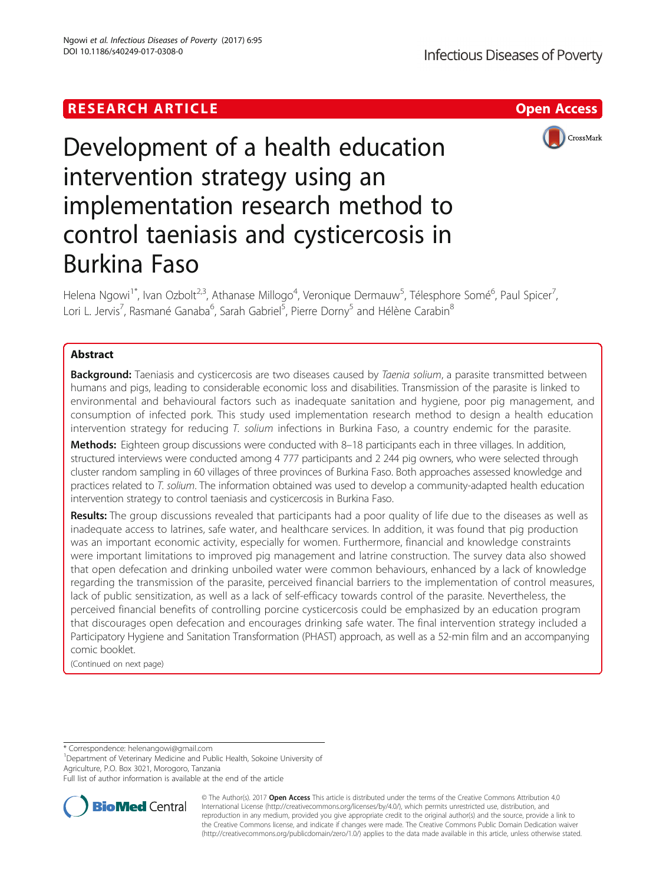# **RESEARCH ARTICLE Example 2018 12:30 The Contract of Contract ACCESS**



# Development of a health education intervention strategy using an implementation research method to control taeniasis and cysticercosis in Burkina Faso

Helena Ngowi<sup>1\*</sup>, Ivan Ozbolt<sup>2,3</sup>, Athanase Millogo<sup>4</sup>, Veronique Dermauw<sup>5</sup>, Télesphore Somé<sup>6</sup>, Paul Spicer<sup>7</sup> , Lori L. Jervis<sup>7</sup>, Rasmané Ganaba<sup>6</sup>, Sarah Gabriel<sup>5</sup>, Pierre Dorny<sup>5</sup> and Hélène Carabin<sup>8</sup>

# Abstract

Background: Taeniasis and cysticercosis are two diseases caused by Taenia solium, a parasite transmitted between humans and pigs, leading to considerable economic loss and disabilities. Transmission of the parasite is linked to environmental and behavioural factors such as inadequate sanitation and hygiene, poor pig management, and consumption of infected pork. This study used implementation research method to design a health education intervention strategy for reducing T. solium infections in Burkina Faso, a country endemic for the parasite.

Methods: Eighteen group discussions were conducted with 8–18 participants each in three villages. In addition, structured interviews were conducted among 4 777 participants and 2 244 pig owners, who were selected through cluster random sampling in 60 villages of three provinces of Burkina Faso. Both approaches assessed knowledge and practices related to T. solium. The information obtained was used to develop a community-adapted health education intervention strategy to control taeniasis and cysticercosis in Burkina Faso.

Results: The group discussions revealed that participants had a poor quality of life due to the diseases as well as inadequate access to latrines, safe water, and healthcare services. In addition, it was found that pig production was an important economic activity, especially for women. Furthermore, financial and knowledge constraints were important limitations to improved pig management and latrine construction. The survey data also showed that open defecation and drinking unboiled water were common behaviours, enhanced by a lack of knowledge regarding the transmission of the parasite, perceived financial barriers to the implementation of control measures, lack of public sensitization, as well as a lack of self-efficacy towards control of the parasite. Nevertheless, the perceived financial benefits of controlling porcine cysticercosis could be emphasized by an education program that discourages open defecation and encourages drinking safe water. The final intervention strategy included a Participatory Hygiene and Sanitation Transformation (PHAST) approach, as well as a 52-min film and an accompanying comic booklet.

(Continued on next page)

\* Correspondence: [helenangowi@gmail.com](mailto:helenangowi@gmail.com) <sup>1</sup>

<sup>1</sup>Department of Veterinary Medicine and Public Health, Sokoine University of Agriculture, P.O. Box 3021, Morogoro, Tanzania

Full list of author information is available at the end of the article



© The Author(s). 2017 **Open Access** This article is distributed under the terms of the Creative Commons Attribution 4.0 International License [\(http://creativecommons.org/licenses/by/4.0/](http://creativecommons.org/licenses/by/4.0/)), which permits unrestricted use, distribution, and reproduction in any medium, provided you give appropriate credit to the original author(s) and the source, provide a link to the Creative Commons license, and indicate if changes were made. The Creative Commons Public Domain Dedication waiver [\(http://creativecommons.org/publicdomain/zero/1.0/](http://creativecommons.org/publicdomain/zero/1.0/)) applies to the data made available in this article, unless otherwise stated.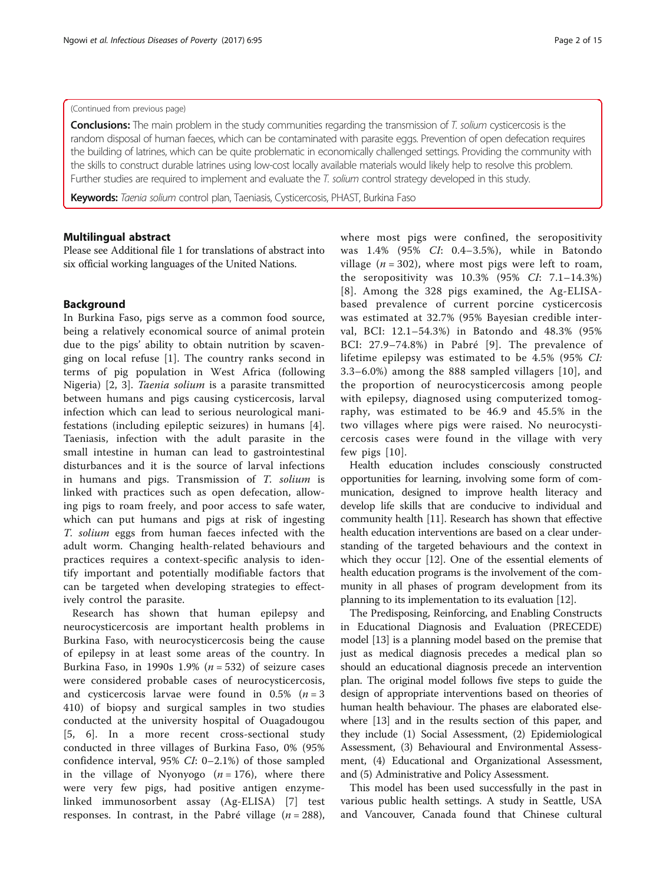## (Continued from previous page)

Conclusions: The main problem in the study communities regarding the transmission of T. solium cysticercosis is the random disposal of human faeces, which can be contaminated with parasite eggs. Prevention of open defecation requires the building of latrines, which can be quite problematic in economically challenged settings. Providing the community with the skills to construct durable latrines using low-cost locally available materials would likely help to resolve this problem. Further studies are required to implement and evaluate the T. solium control strategy developed in this study.

Keywords: Taenia solium control plan, Taeniasis, Cysticercosis, PHAST, Burkina Faso

# Multilingual abstract

Please see Additional file [1](#page-13-0) for translations of abstract into six official working languages of the United Nations.

# Background

In Burkina Faso, pigs serve as a common food source, being a relatively economical source of animal protein due to the pigs' ability to obtain nutrition by scavenging on local refuse [[1](#page-13-0)]. The country ranks second in terms of pig population in West Africa (following Nigeria) [[2, 3\]](#page-13-0). Taenia solium is a parasite transmitted between humans and pigs causing cysticercosis, larval infection which can lead to serious neurological manifestations (including epileptic seizures) in humans [\[4](#page-13-0)]. Taeniasis, infection with the adult parasite in the small intestine in human can lead to gastrointestinal disturbances and it is the source of larval infections in humans and pigs. Transmission of T. solium is linked with practices such as open defecation, allowing pigs to roam freely, and poor access to safe water, which can put humans and pigs at risk of ingesting T. solium eggs from human faeces infected with the adult worm. Changing health-related behaviours and practices requires a context-specific analysis to identify important and potentially modifiable factors that can be targeted when developing strategies to effectively control the parasite.

Research has shown that human epilepsy and neurocysticercosis are important health problems in Burkina Faso, with neurocysticercosis being the cause of epilepsy in at least some areas of the country. In Burkina Faso, in 1990s 1.9% ( $n = 532$ ) of seizure cases were considered probable cases of neurocysticercosis, and cysticercosis larvae were found in 0.5% ( $n = 3$ ) 410) of biopsy and surgical samples in two studies conducted at the university hospital of Ouagadougou [[5,](#page-13-0) [6\]](#page-14-0). In a more recent cross-sectional study conducted in three villages of Burkina Faso, 0% (95% confidence interval, 95% CI: 0–2.1%) of those sampled in the village of Nyonyogo  $(n = 176)$ , where there were very few pigs, had positive antigen enzymelinked immunosorbent assay (Ag-ELISA) [\[7](#page-14-0)] test responses. In contrast, in the Pabré village  $(n = 288)$ , where most pigs were confined, the seropositivity was 1.4% (95% CI: 0.4–3.5%), while in Batondo village ( $n = 302$ ), where most pigs were left to roam, the seropositivity was 10.3% (95% CI: 7.1–14.3%) [[8](#page-14-0)]. Among the 328 pigs examined, the Ag-ELISAbased prevalence of current porcine cysticercosis was estimated at 32.7% (95% Bayesian credible interval, BCI: 12.1–54.3%) in Batondo and 48.3% (95% BCI: 27.9–74.8%) in Pabré [[9\]](#page-14-0). The prevalence of lifetime epilepsy was estimated to be 4.5% (95% CI: 3.3–6.0%) among the 888 sampled villagers [[10](#page-14-0)], and the proportion of neurocysticercosis among people with epilepsy, diagnosed using computerized tomography, was estimated to be 46.9 and 45.5% in the two villages where pigs were raised. No neurocysticercosis cases were found in the village with very few pigs [[10](#page-14-0)].

Health education includes consciously constructed opportunities for learning, involving some form of communication, designed to improve health literacy and develop life skills that are conducive to individual and community health [[11](#page-14-0)]. Research has shown that effective health education interventions are based on a clear understanding of the targeted behaviours and the context in which they occur [[12](#page-14-0)]. One of the essential elements of health education programs is the involvement of the community in all phases of program development from its planning to its implementation to its evaluation [[12](#page-14-0)].

The Predisposing, Reinforcing, and Enabling Constructs in Educational Diagnosis and Evaluation (PRECEDE) model [[13](#page-14-0)] is a planning model based on the premise that just as medical diagnosis precedes a medical plan so should an educational diagnosis precede an intervention plan. The original model follows five steps to guide the design of appropriate interventions based on theories of human health behaviour. The phases are elaborated elsewhere [\[13\]](#page-14-0) and in the results section of this paper, and they include (1) Social Assessment, (2) Epidemiological Assessment, (3) Behavioural and Environmental Assessment, (4) Educational and Organizational Assessment, and (5) Administrative and Policy Assessment.

This model has been used successfully in the past in various public health settings. A study in Seattle, USA and Vancouver, Canada found that Chinese cultural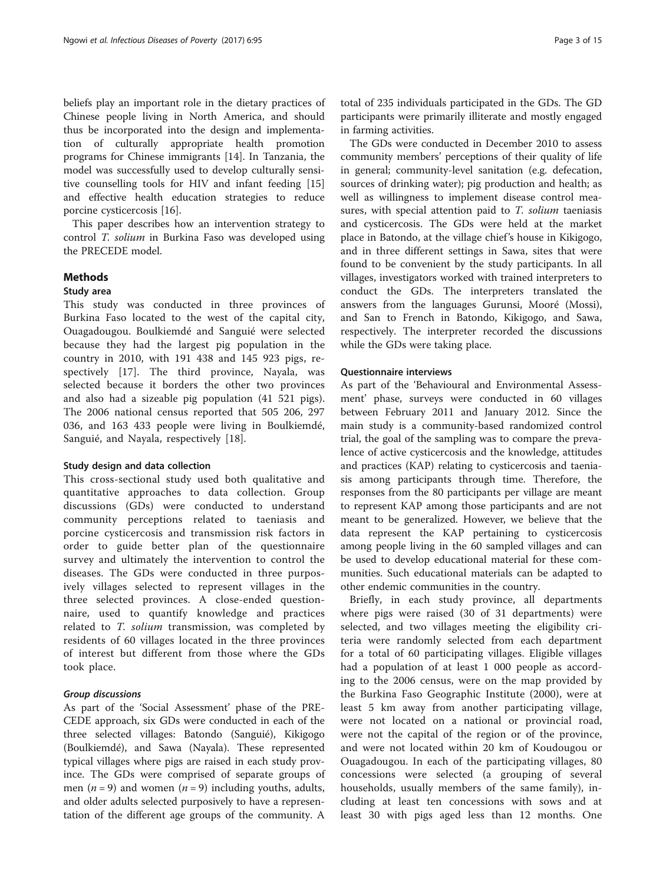beliefs play an important role in the dietary practices of Chinese people living in North America, and should thus be incorporated into the design and implementation of culturally appropriate health promotion programs for Chinese immigrants [\[14\]](#page-14-0). In Tanzania, the model was successfully used to develop culturally sensitive counselling tools for HIV and infant feeding [[15](#page-14-0)] and effective health education strategies to reduce porcine cysticercosis [\[16\]](#page-14-0).

This paper describes how an intervention strategy to control T. solium in Burkina Faso was developed using the PRECEDE model.

# Methods

# Study area

This study was conducted in three provinces of Burkina Faso located to the west of the capital city, Ouagadougou. Boulkiemdé and Sanguié were selected because they had the largest pig population in the country in 2010, with 191 438 and 145 923 pigs, respectively [\[17](#page-14-0)]. The third province, Nayala, was selected because it borders the other two provinces and also had a sizeable pig population (41 521 pigs). The 2006 national census reported that 505 206, 297 036, and 163 433 people were living in Boulkiemdé, Sanguié, and Nayala, respectively [[18\]](#page-14-0).

# Study design and data collection

This cross-sectional study used both qualitative and quantitative approaches to data collection. Group discussions (GDs) were conducted to understand community perceptions related to taeniasis and porcine cysticercosis and transmission risk factors in order to guide better plan of the questionnaire survey and ultimately the intervention to control the diseases. The GDs were conducted in three purposively villages selected to represent villages in the three selected provinces. A close-ended questionnaire, used to quantify knowledge and practices related to T. solium transmission, was completed by residents of 60 villages located in the three provinces of interest but different from those where the GDs took place.

# Group discussions

As part of the 'Social Assessment' phase of the PRE-CEDE approach, six GDs were conducted in each of the three selected villages: Batondo (Sanguié), Kikigogo (Boulkiemdé), and Sawa (Nayala). These represented typical villages where pigs are raised in each study province. The GDs were comprised of separate groups of men ( $n = 9$ ) and women ( $n = 9$ ) including youths, adults, and older adults selected purposively to have a representation of the different age groups of the community. A

total of 235 individuals participated in the GDs. The GD participants were primarily illiterate and mostly engaged in farming activities.

The GDs were conducted in December 2010 to assess community members' perceptions of their quality of life in general; community-level sanitation (e.g. defecation, sources of drinking water); pig production and health; as well as willingness to implement disease control measures, with special attention paid to T. solium taeniasis and cysticercosis. The GDs were held at the market place in Batondo, at the village chief's house in Kikigogo, and in three different settings in Sawa, sites that were found to be convenient by the study participants. In all villages, investigators worked with trained interpreters to conduct the GDs. The interpreters translated the answers from the languages Gurunsi, Mooré (Mossi), and San to French in Batondo, Kikigogo, and Sawa, respectively. The interpreter recorded the discussions while the GDs were taking place.

# Questionnaire interviews

As part of the 'Behavioural and Environmental Assessment' phase, surveys were conducted in 60 villages between February 2011 and January 2012. Since the main study is a community-based randomized control trial, the goal of the sampling was to compare the prevalence of active cysticercosis and the knowledge, attitudes and practices (KAP) relating to cysticercosis and taeniasis among participants through time. Therefore, the responses from the 80 participants per village are meant to represent KAP among those participants and are not meant to be generalized. However, we believe that the data represent the KAP pertaining to cysticercosis among people living in the 60 sampled villages and can be used to develop educational material for these communities. Such educational materials can be adapted to other endemic communities in the country.

Briefly, in each study province, all departments where pigs were raised (30 of 31 departments) were selected, and two villages meeting the eligibility criteria were randomly selected from each department for a total of 60 participating villages. Eligible villages had a population of at least 1 000 people as according to the 2006 census, were on the map provided by the Burkina Faso Geographic Institute (2000), were at least 5 km away from another participating village, were not located on a national or provincial road, were not the capital of the region or of the province, and were not located within 20 km of Koudougou or Ouagadougou. In each of the participating villages, 80 concessions were selected (a grouping of several households, usually members of the same family), including at least ten concessions with sows and at least 30 with pigs aged less than 12 months. One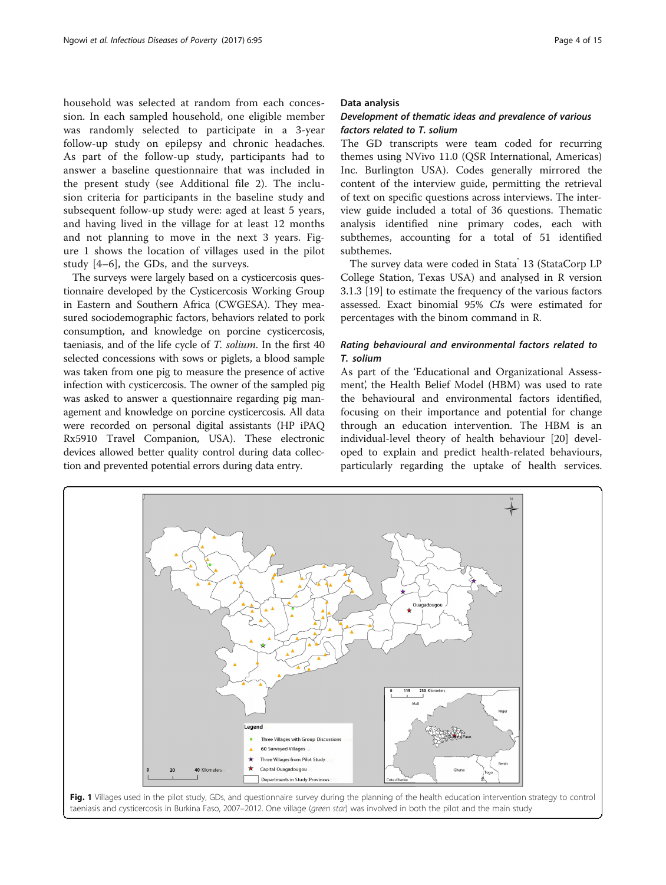household was selected at random from each concession. In each sampled household, one eligible member was randomly selected to participate in a 3-year follow-up study on epilepsy and chronic headaches. As part of the follow-up study, participants had to answer a baseline questionnaire that was included in the present study (see Additional file [2](#page-13-0)). The inclusion criteria for participants in the baseline study and subsequent follow-up study were: aged at least 5 years, and having lived in the village for at least 12 months and not planning to move in the next 3 years. Figure 1 shows the location of villages used in the pilot study [\[4](#page-13-0)–[6](#page-14-0)], the GDs, and the surveys.

The surveys were largely based on a cysticercosis questionnaire developed by the Cysticercosis Working Group in Eastern and Southern Africa (CWGESA). They measured sociodemographic factors, behaviors related to pork consumption, and knowledge on porcine cysticercosis, taeniasis, and of the life cycle of T. solium. In the first 40 selected concessions with sows or piglets, a blood sample was taken from one pig to measure the presence of active infection with cysticercosis. The owner of the sampled pig was asked to answer a questionnaire regarding pig management and knowledge on porcine cysticercosis. All data were recorded on personal digital assistants (HP iPAQ Rx5910 Travel Companion, USA). These electronic devices allowed better quality control during data collection and prevented potential errors during data entry.

#### Data analysis

# Development of thematic ideas and prevalence of various factors related to T. solium

The GD transcripts were team coded for recurring themes using NVivo 11.0 (QSR International, Americas) Inc. Burlington USA). Codes generally mirrored the content of the interview guide, permitting the retrieval of text on specific questions across interviews. The interview guide included a total of 36 questions. Thematic analysis identified nine primary codes, each with subthemes, accounting for a total of 51 identified subthemes.

The survey data were coded in Stata<sup>®</sup> 13 (StataCorp LP College Station, Texas USA) and analysed in R version 3.1.3 [[19\]](#page-14-0) to estimate the frequency of the various factors assessed. Exact binomial 95% CIs were estimated for percentages with the binom command in R.

# Rating behavioural and environmental factors related to T. solium

As part of the 'Educational and Organizational Assessment', the Health Belief Model (HBM) was used to rate the behavioural and environmental factors identified, focusing on their importance and potential for change through an education intervention. The HBM is an individual-level theory of health behaviour [[20\]](#page-14-0) developed to explain and predict health-related behaviours, particularly regarding the uptake of health services.

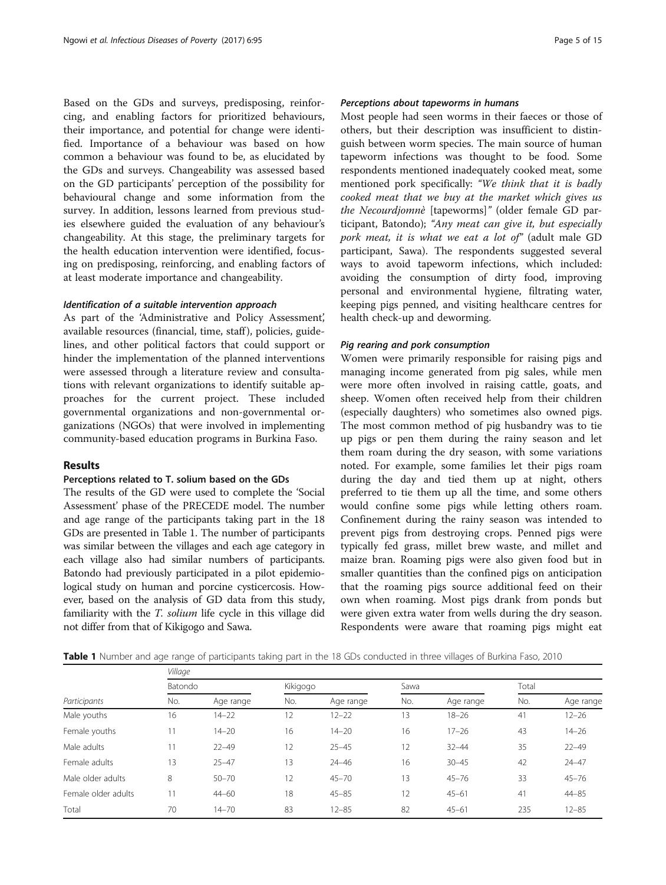Based on the GDs and surveys, predisposing, reinforcing, and enabling factors for prioritized behaviours, their importance, and potential for change were identified. Importance of a behaviour was based on how common a behaviour was found to be, as elucidated by the GDs and surveys. Changeability was assessed based on the GD participants' perception of the possibility for behavioural change and some information from the survey. In addition, lessons learned from previous studies elsewhere guided the evaluation of any behaviour's changeability. At this stage, the preliminary targets for the health education intervention were identified, focusing on predisposing, reinforcing, and enabling factors of at least moderate importance and changeability.

# Identification of a suitable intervention approach

As part of the 'Administrative and Policy Assessment', available resources (financial, time, staff ), policies, guidelines, and other political factors that could support or hinder the implementation of the planned interventions were assessed through a literature review and consultations with relevant organizations to identify suitable approaches for the current project. These included governmental organizations and non-governmental organizations (NGOs) that were involved in implementing community-based education programs in Burkina Faso.

#### Results

# Perceptions related to T. solium based on the GDs

The results of the GD were used to complete the 'Social Assessment' phase of the PRECEDE model. The number and age range of the participants taking part in the 18 GDs are presented in Table 1. The number of participants was similar between the villages and each age category in each village also had similar numbers of participants. Batondo had previously participated in a pilot epidemiological study on human and porcine cysticercosis. However, based on the analysis of GD data from this study, familiarity with the *T. solium* life cycle in this village did not differ from that of Kikigogo and Sawa.

# Perceptions about tapeworms in humans

Most people had seen worms in their faeces or those of others, but their description was insufficient to distinguish between worm species. The main source of human tapeworm infections was thought to be food. Some respondents mentioned inadequately cooked meat, some mentioned pork specifically: "We think that it is badly cooked meat that we buy at the market which gives us the Necourdjomnè [tapeworms]" (older female GD participant, Batondo); "Any meat can give it, but especially pork meat, it is what we eat a lot of" (adult male GD participant, Sawa). The respondents suggested several ways to avoid tapeworm infections, which included: avoiding the consumption of dirty food, improving personal and environmental hygiene, filtrating water, keeping pigs penned, and visiting healthcare centres for health check-up and deworming.

## Pig rearing and pork consumption

Women were primarily responsible for raising pigs and managing income generated from pig sales, while men were more often involved in raising cattle, goats, and sheep. Women often received help from their children (especially daughters) who sometimes also owned pigs. The most common method of pig husbandry was to tie up pigs or pen them during the rainy season and let them roam during the dry season, with some variations noted. For example, some families let their pigs roam during the day and tied them up at night, others preferred to tie them up all the time, and some others would confine some pigs while letting others roam. Confinement during the rainy season was intended to prevent pigs from destroying crops. Penned pigs were typically fed grass, millet brew waste, and millet and maize bran. Roaming pigs were also given food but in smaller quantities than the confined pigs on anticipation that the roaming pigs source additional feed on their own when roaming. Most pigs drank from ponds but were given extra water from wells during the dry season. Respondents were aware that roaming pigs might eat

|  |  |  |  | <b>Table 1</b> Number and age range of participants taking part in the 18 GDs conducted in three villages of Burkina Faso, 2010 |  |  |
|--|--|--|--|---------------------------------------------------------------------------------------------------------------------------------|--|--|
|--|--|--|--|---------------------------------------------------------------------------------------------------------------------------------|--|--|

|                     | Village |           |     |           |     |           |     |           |  |
|---------------------|---------|-----------|-----|-----------|-----|-----------|-----|-----------|--|
|                     | Batondo |           |     | Kikigogo  |     | Sawa      |     | Total     |  |
| Participants        | No.     | Age range | No. | Age range | No. | Age range | No. | Age range |  |
| Male youths         | 16      | $14 - 22$ | 12  | $12 - 22$ | 13  | $18 - 26$ | 41  | $12 - 26$ |  |
| Female youths       | 11      | $14 - 20$ | 16  | $14 - 20$ | 16  | $17 - 26$ | 43  | $14 - 26$ |  |
| Male adults         | 11      | $22 - 49$ | 12  | $25 - 45$ | 12  | $32 - 44$ | 35  | $22 - 49$ |  |
| Female adults       | 13      | $25 - 47$ | 13  | $24 - 46$ | 16  | $30 - 45$ | 42  | $24 - 47$ |  |
| Male older adults   | 8       | $50 - 70$ | 12  | $45 - 70$ | 13  | $45 - 76$ | 33  | $45 - 76$ |  |
| Female older adults | 11      | $44 - 60$ | 18  | $45 - 85$ | 12  | $45 - 61$ | 41  | $44 - 85$ |  |
| Total               | 70      | $14 - 70$ | 83  | $12 - 85$ | 82  | $45 - 61$ | 235 | $12 - 85$ |  |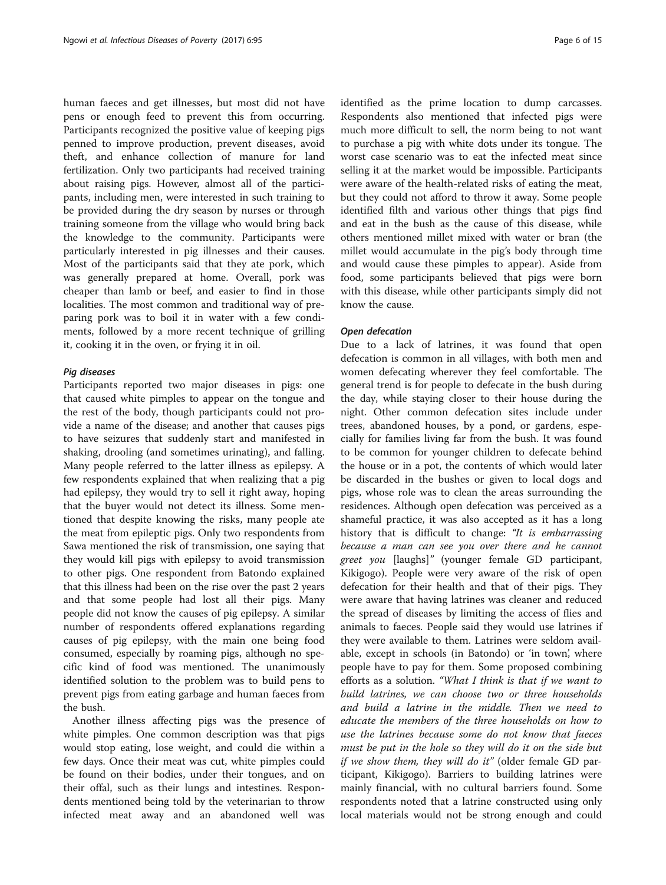human faeces and get illnesses, but most did not have pens or enough feed to prevent this from occurring. Participants recognized the positive value of keeping pigs penned to improve production, prevent diseases, avoid theft, and enhance collection of manure for land fertilization. Only two participants had received training about raising pigs. However, almost all of the participants, including men, were interested in such training to be provided during the dry season by nurses or through training someone from the village who would bring back the knowledge to the community. Participants were particularly interested in pig illnesses and their causes. Most of the participants said that they ate pork, which was generally prepared at home. Overall, pork was cheaper than lamb or beef, and easier to find in those localities. The most common and traditional way of preparing pork was to boil it in water with a few condiments, followed by a more recent technique of grilling it, cooking it in the oven, or frying it in oil.

# Pig diseases

Participants reported two major diseases in pigs: one that caused white pimples to appear on the tongue and the rest of the body, though participants could not provide a name of the disease; and another that causes pigs to have seizures that suddenly start and manifested in shaking, drooling (and sometimes urinating), and falling. Many people referred to the latter illness as epilepsy. A few respondents explained that when realizing that a pig had epilepsy, they would try to sell it right away, hoping that the buyer would not detect its illness. Some mentioned that despite knowing the risks, many people ate the meat from epileptic pigs. Only two respondents from Sawa mentioned the risk of transmission, one saying that they would kill pigs with epilepsy to avoid transmission to other pigs. One respondent from Batondo explained that this illness had been on the rise over the past 2 years and that some people had lost all their pigs. Many people did not know the causes of pig epilepsy. A similar number of respondents offered explanations regarding causes of pig epilepsy, with the main one being food consumed, especially by roaming pigs, although no specific kind of food was mentioned. The unanimously identified solution to the problem was to build pens to prevent pigs from eating garbage and human faeces from the bush.

Another illness affecting pigs was the presence of white pimples. One common description was that pigs would stop eating, lose weight, and could die within a few days. Once their meat was cut, white pimples could be found on their bodies, under their tongues, and on their offal, such as their lungs and intestines. Respondents mentioned being told by the veterinarian to throw infected meat away and an abandoned well was

identified as the prime location to dump carcasses. Respondents also mentioned that infected pigs were much more difficult to sell, the norm being to not want to purchase a pig with white dots under its tongue. The worst case scenario was to eat the infected meat since selling it at the market would be impossible. Participants were aware of the health-related risks of eating the meat, but they could not afford to throw it away. Some people identified filth and various other things that pigs find and eat in the bush as the cause of this disease, while others mentioned millet mixed with water or bran (the millet would accumulate in the pig's body through time and would cause these pimples to appear). Aside from food, some participants believed that pigs were born with this disease, while other participants simply did not know the cause.

#### Open defecation

Due to a lack of latrines, it was found that open defecation is common in all villages, with both men and women defecating wherever they feel comfortable. The general trend is for people to defecate in the bush during the day, while staying closer to their house during the night. Other common defecation sites include under trees, abandoned houses, by a pond, or gardens, especially for families living far from the bush. It was found to be common for younger children to defecate behind the house or in a pot, the contents of which would later be discarded in the bushes or given to local dogs and pigs, whose role was to clean the areas surrounding the residences. Although open defecation was perceived as a shameful practice, it was also accepted as it has a long history that is difficult to change: "It is embarrassing because a man can see you over there and he cannot greet you [laughs]" (younger female GD participant, Kikigogo). People were very aware of the risk of open defecation for their health and that of their pigs. They were aware that having latrines was cleaner and reduced the spread of diseases by limiting the access of flies and animals to faeces. People said they would use latrines if they were available to them. Latrines were seldom available, except in schools (in Batondo) or 'in town', where people have to pay for them. Some proposed combining efforts as a solution. "What I think is that if we want to build latrines, we can choose two or three households and build a latrine in the middle. Then we need to educate the members of the three households on how to use the latrines because some do not know that faeces must be put in the hole so they will do it on the side but if we show them, they will do it" (older female GD participant, Kikigogo). Barriers to building latrines were mainly financial, with no cultural barriers found. Some respondents noted that a latrine constructed using only local materials would not be strong enough and could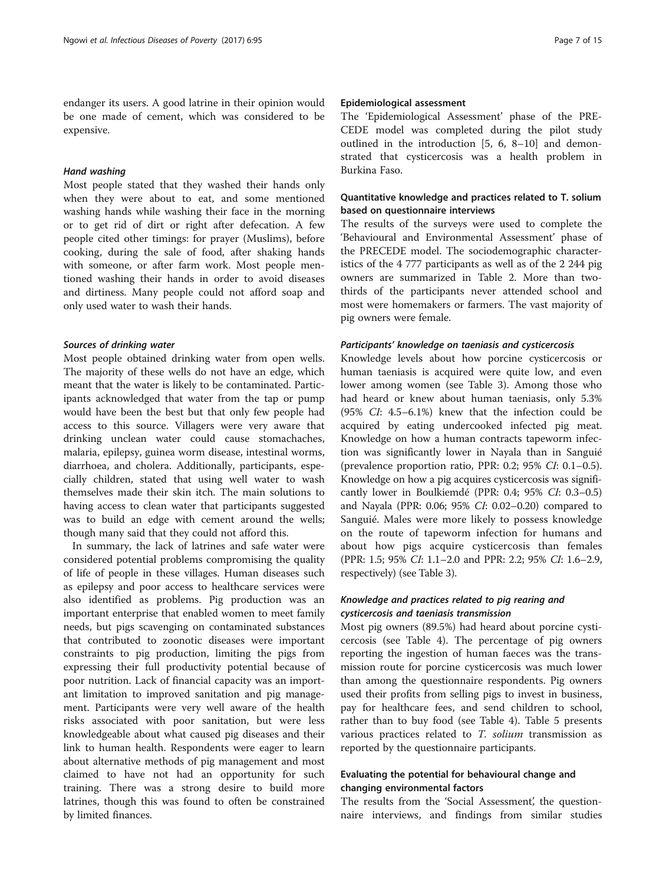endanger its users. A good latrine in their opinion would be one made of cement, which was considered to be expensive.

## Hand washing

Most people stated that they washed their hands only when they were about to eat, and some mentioned washing hands while washing their face in the morning or to get rid of dirt or right after defecation. A few people cited other timings: for prayer (Muslims), before cooking, during the sale of food, after shaking hands with someone, or after farm work. Most people mentioned washing their hands in order to avoid diseases and dirtiness. Many people could not afford soap and only used water to wash their hands.

#### Sources of drinking water

Most people obtained drinking water from open wells. The majority of these wells do not have an edge, which meant that the water is likely to be contaminated. Participants acknowledged that water from the tap or pump would have been the best but that only few people had access to this source. Villagers were very aware that drinking unclean water could cause stomachaches, malaria, epilepsy, guinea worm disease, intestinal worms, diarrhoea, and cholera. Additionally, participants, especially children, stated that using well water to wash themselves made their skin itch. The main solutions to having access to clean water that participants suggested was to build an edge with cement around the wells; though many said that they could not afford this.

In summary, the lack of latrines and safe water were considered potential problems compromising the quality of life of people in these villages. Human diseases such as epilepsy and poor access to healthcare services were also identified as problems. Pig production was an important enterprise that enabled women to meet family needs, but pigs scavenging on contaminated substances that contributed to zoonotic diseases were important constraints to pig production, limiting the pigs from expressing their full productivity potential because of poor nutrition. Lack of financial capacity was an important limitation to improved sanitation and pig management. Participants were very well aware of the health risks associated with poor sanitation, but were less knowledgeable about what caused pig diseases and their link to human health. Respondents were eager to learn about alternative methods of pig management and most claimed to have not had an opportunity for such training. There was a strong desire to build more latrines, though this was found to often be constrained by limited finances.

## Epidemiological assessment

The 'Epidemiological Assessment' phase of the PRE-CEDE model was completed during the pilot study outlined in the introduction [[5,](#page-13-0) [6, 8](#page-14-0)–[10](#page-14-0)] and demonstrated that cysticercosis was a health problem in Burkina Faso.

# Quantitative knowledge and practices related to T. solium based on questionnaire interviews

The results of the surveys were used to complete the 'Behavioural and Environmental Assessment' phase of the PRECEDE model. The sociodemographic characteristics of the 4 777 participants as well as of the 2 244 pig owners are summarized in Table [2.](#page-7-0) More than twothirds of the participants never attended school and most were homemakers or farmers. The vast majority of pig owners were female.

#### Participants' knowledge on taeniasis and cysticercosis

Knowledge levels about how porcine cysticercosis or human taeniasis is acquired were quite low, and even lower among women (see Table [3](#page-8-0)). Among those who had heard or knew about human taeniasis, only 5.3% (95% CI: 4.5–6.1%) knew that the infection could be acquired by eating undercooked infected pig meat. Knowledge on how a human contracts tapeworm infection was significantly lower in Nayala than in Sanguié (prevalence proportion ratio, PPR: 0.2;  $95\%$  CI: 0.1–0.5). Knowledge on how a pig acquires cysticercosis was significantly lower in Boulkiemdé (PPR: 0.4; 95% CI: 0.3–0.5) and Nayala (PPR: 0.06; 95% CI: 0.02–0.20) compared to Sanguié. Males were more likely to possess knowledge on the route of tapeworm infection for humans and about how pigs acquire cysticercosis than females (PPR: 1.5; 95% CI: 1.1–2.0 and PPR: 2.2; 95% CI: 1.6–2.9, respectively) (see Table [3\)](#page-8-0).

# Knowledge and practices related to pig rearing and cysticercosis and taeniasis transmission

Most pig owners (89.5%) had heard about porcine cysticercosis (see Table [4\)](#page-9-0). The percentage of pig owners reporting the ingestion of human faeces was the transmission route for porcine cysticercosis was much lower than among the questionnaire respondents. Pig owners used their profits from selling pigs to invest in business, pay for healthcare fees, and send children to school, rather than to buy food (see Table [4\)](#page-9-0). Table [5](#page-9-0) presents various practices related to T. solium transmission as reported by the questionnaire participants.

# Evaluating the potential for behavioural change and changing environmental factors

The results from the 'Social Assessment', the questionnaire interviews, and findings from similar studies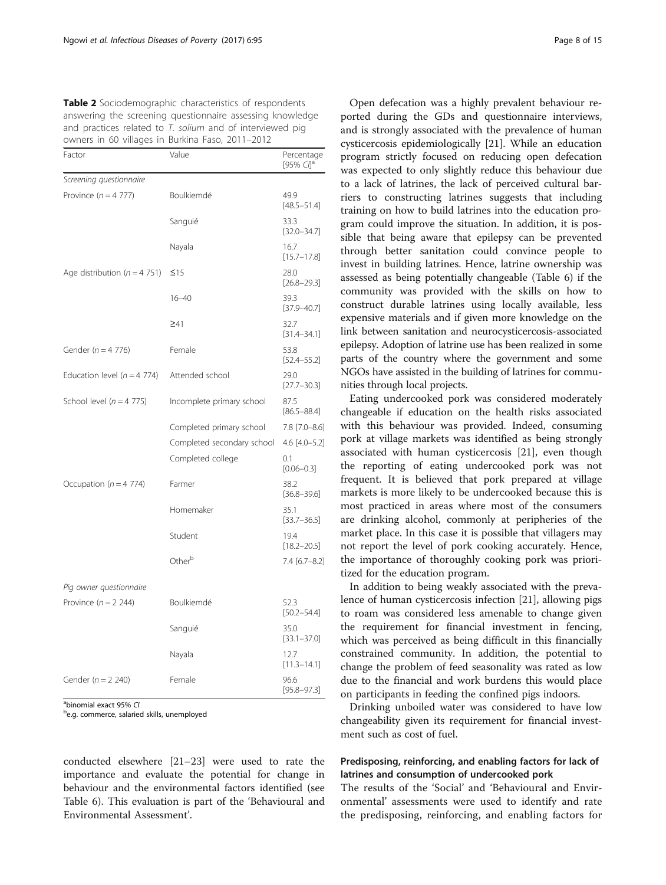<span id="page-7-0"></span>Table 2 Sociodemographic characteristics of respondents answering the screening questionnaire assessing knowledge and practices related to T. solium and of interviewed pig owners in 60 villages in Burkina Faso, 2011–2012

| Factor                          | Value                      | Percentage<br>[95% $CI$ ] <sup>a</sup> |
|---------------------------------|----------------------------|----------------------------------------|
| Screening questionnaire         |                            |                                        |
| Province ( $n = 4$ 777)         | Boulkiemdé                 | 49.9<br>$[48.5 - 51.4]$                |
|                                 | Sanguié                    | 33.3<br>$[32.0 - 34.7]$                |
|                                 | Nayala                     | 16.7<br>$[15.7 - 17.8]$                |
| Age distribution ( $n = 4$ 751) | $\leq$ 15                  | 28.0<br>$[26.8 - 29.3]$                |
|                                 | $16 - 40$                  | 39.3<br>$[37.9 - 40.7]$                |
|                                 | $\geq 41$                  | 32.7<br>$[31.4 - 34.1]$                |
| Gender ( $n = 4$ 776)           | Female                     | 53.8<br>$[52.4 - 55.2]$                |
| Education level ( $n = 4$ 774)  | Attended school            | 29.0<br>$[27.7 - 30.3]$                |
| School level ( $n = 4$ 775)     | Incomplete primary school  | 87.5<br>$[86.5 - 88.4]$                |
|                                 | Completed primary school   | 7.8 [7.0-8.6]                          |
|                                 | Completed secondary school | $4.6$ [ $4.0 - 5.2$ ]                  |
|                                 | Completed college          | 0.1<br>$[0.06 - 0.3]$                  |
| Occupation ( $n = 4$ 774)       | Farmer                     | 38.2<br>$[36.8 - 39.6]$                |
|                                 | Homemaker                  | 35.1<br>$[33.7 - 36.5]$                |
|                                 | Student                    | 19.4<br>$[18.2 - 20.5]$                |
|                                 | Other <sup>b</sup>         | 7.4 [6.7-8.2]                          |
| Pig owner questionnaire         |                            |                                        |
| Province $(n = 2, 244)$         | Boulkiemdé                 | 52.3<br>$[50.2 - 54.4]$                |
|                                 | Sanguié                    | 35.0<br>$[33.1 - 37.0]$                |
|                                 | Nayala                     | 12.7<br>$[11.3 - 14.1]$                |
| Gender ( $n = 2,240$ )          | Female                     | 96.6<br>$[95.8 - 97.3]$                |

<sup>a</sup>binomial exact 95% CI

<sup>a</sup>binomial exact 95% *CI*<br><sup>b</sup>e.g. commerce, salaried skills, unemployed

conducted elsewhere [\[21](#page-14-0)–[23\]](#page-14-0) were used to rate the importance and evaluate the potential for change in behaviour and the environmental factors identified (see Table [6](#page-10-0)). This evaluation is part of the 'Behavioural and Environmental Assessment'.

Open defecation was a highly prevalent behaviour reported during the GDs and questionnaire interviews, and is strongly associated with the prevalence of human cysticercosis epidemiologically [\[21\]](#page-14-0). While an education program strictly focused on reducing open defecation was expected to only slightly reduce this behaviour due to a lack of latrines, the lack of perceived cultural barriers to constructing latrines suggests that including training on how to build latrines into the education program could improve the situation. In addition, it is possible that being aware that epilepsy can be prevented through better sanitation could convince people to invest in building latrines. Hence, latrine ownership was assessed as being potentially changeable (Table [6\)](#page-10-0) if the community was provided with the skills on how to construct durable latrines using locally available, less expensive materials and if given more knowledge on the link between sanitation and neurocysticercosis-associated epilepsy. Adoption of latrine use has been realized in some parts of the country where the government and some NGOs have assisted in the building of latrines for communities through local projects.

Eating undercooked pork was considered moderately changeable if education on the health risks associated with this behaviour was provided. Indeed, consuming pork at village markets was identified as being strongly associated with human cysticercosis [[21\]](#page-14-0), even though the reporting of eating undercooked pork was not frequent. It is believed that pork prepared at village markets is more likely to be undercooked because this is most practiced in areas where most of the consumers are drinking alcohol, commonly at peripheries of the market place. In this case it is possible that villagers may not report the level of pork cooking accurately. Hence, the importance of thoroughly cooking pork was prioritized for the education program.

In addition to being weakly associated with the prevalence of human cysticercosis infection [\[21\]](#page-14-0), allowing pigs to roam was considered less amenable to change given the requirement for financial investment in fencing, which was perceived as being difficult in this financially constrained community. In addition, the potential to change the problem of feed seasonality was rated as low due to the financial and work burdens this would place on participants in feeding the confined pigs indoors.

Drinking unboiled water was considered to have low changeability given its requirement for financial investment such as cost of fuel.

# Predisposing, reinforcing, and enabling factors for lack of latrines and consumption of undercooked pork

The results of the 'Social' and 'Behavioural and Environmental' assessments were used to identify and rate the predisposing, reinforcing, and enabling factors for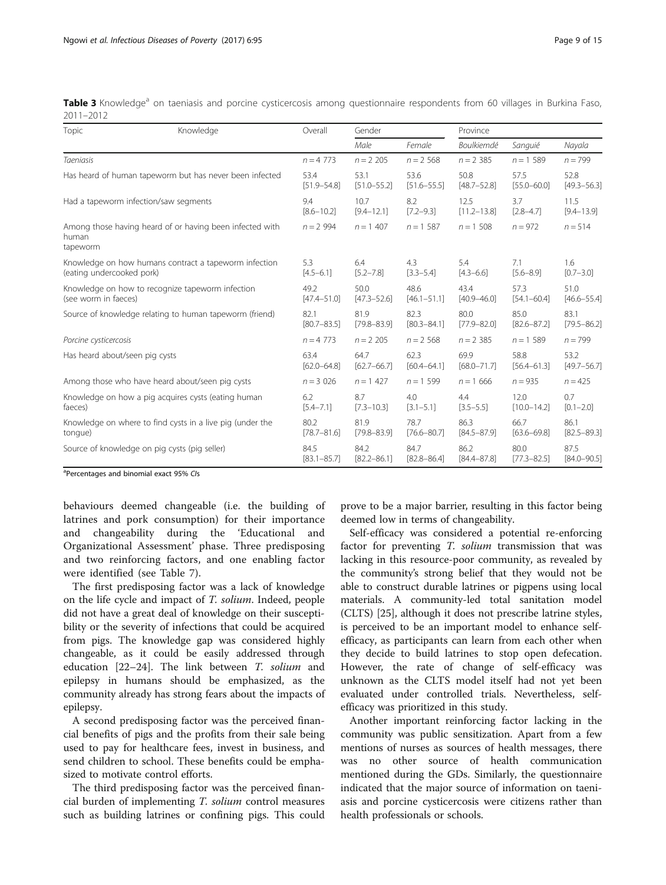<span id="page-8-0"></span>Table 3 Knowledge<sup>a</sup> on taeniasis and porcine cysticercosis among questionnaire respondents from 60 villages in Burkina Faso, 2011–2012

| Topic                                 | Knowledge                                                 | Overall                 | Gender                  |                         | Province                |                         |                         |
|---------------------------------------|-----------------------------------------------------------|-------------------------|-------------------------|-------------------------|-------------------------|-------------------------|-------------------------|
|                                       |                                                           |                         | Male                    | Female                  | Boulkiemdé              | Sanguié                 | Nayala                  |
| <b>Taeniasis</b>                      |                                                           | $n = 4$ 773             | $n = 2,205$             | $n = 2,568$             | $n = 2,385$             | $n = 1,589$             | $n = 799$               |
|                                       | Has heard of human tapeworm but has never been infected   | 53.4<br>$[51.9 - 54.8]$ | 53.1<br>$[51.0 - 55.2]$ | 53.6<br>$[51.6 - 55.5]$ | 50.8<br>$[48.7 - 52.8]$ | 57.5<br>$[55.0 - 60.0]$ | 52.8<br>$[49.3 - 56.3]$ |
| Had a tapeworm infection/saw segments |                                                           | 9.4<br>$[8.6 - 10.2]$   | 10.7<br>$[9.4 - 12.1]$  | 8.2<br>$[7.2 - 9.3]$    | 12.5<br>$[11.2 - 13.8]$ | 3.7<br>$[2.8 - 4.7]$    | 11.5<br>$[9.4 - 13.9]$  |
| human<br>tapeworm                     | Among those having heard of or having been infected with  | $n = 2994$              | $n = 1,407$             | $n = 1,587$             | $n = 1,508$             | $n = 972$               | $n = 514$               |
| (eating undercooked pork)             | Knowledge on how humans contract a tapeworm infection     | 5.3<br>$[4.5 - 6.1]$    | 6.4<br>$[5.2 - 7.8]$    | 4.3<br>$[3.3 - 5.4]$    | 5.4<br>$[4.3 - 6.6]$    | 7.1<br>$[5.6 - 8.9]$    | 1.6<br>$[0.7 - 3.0]$    |
| (see worm in faeces)                  | Knowledge on how to recognize tapeworm infection          | 49.2<br>$[47.4 - 51.0]$ | 50.0<br>$[47.3 - 52.6]$ | 48.6<br>$[46.1 - 51.1]$ | 43.4<br>$[40.9 - 46.0]$ | 57.3<br>$[54.1 - 60.4]$ | 51.0<br>$[46.6 - 55.4]$ |
|                                       | Source of knowledge relating to human tapeworm (friend)   | 82.1<br>$[80.7 - 83.5]$ | 81.9<br>$[79.8 - 83.9]$ | 82.3<br>$[80.3 - 84.1]$ | 80.0<br>$[77.9 - 82.0]$ | 85.0<br>$[82.6 - 87.2]$ | 83.1<br>$[79.5 - 86.2]$ |
| Porcine cysticercosis                 |                                                           | $n = 4$ 773             | $n = 2,205$             | $n = 2,568$             | $n = 2,385$             | $n = 1589$              | $n = 799$               |
| Has heard about/seen pig cysts        |                                                           | 63.4<br>$[62.0 - 64.8]$ | 64.7<br>$[62.7 - 66.7]$ | 62.3<br>$[60.4 - 64.1]$ | 69.9<br>$[68.0 - 71.7]$ | 58.8<br>$[56.4 - 61.3]$ | 53.2<br>$[49.7 - 56.7]$ |
|                                       | Among those who have heard about/seen pig cysts           | $n = 3026$              | $n = 1,427$             | $n = 1,599$             | $n = 1,666$             | $n = 935$               | $n = 425$               |
| faeces)                               | Knowledge on how a pig acquires cysts (eating human       | 6.2<br>$[5.4 - 7.1]$    | 8.7<br>$[7.3 - 10.3]$   | 4.0<br>$[3.1 - 5.1]$    | 4.4<br>$[3.5 - 5.5]$    | 12.0<br>$[10.0 - 14.2]$ | 0.7<br>$[0.1 - 2.0]$    |
| tongue)                               | Knowledge on where to find cysts in a live pig (under the | 80.2<br>$[78.7 - 81.6]$ | 81.9<br>$[79.8 - 83.9]$ | 78.7<br>$[76.6 - 80.7]$ | 86.3<br>$[84.5 - 87.9]$ | 66.7<br>$[63.6 - 69.8]$ | 86.1<br>$[82.5 - 89.3]$ |
|                                       | Source of knowledge on pig cysts (pig seller)             | 84.5<br>$[83.1 - 85.7]$ | 84.2<br>$[82.2 - 86.1]$ | 84.7<br>$[82.8 - 86.4]$ | 86.2<br>$[84.4 - 87.8]$ | 80.0<br>$[77.3 - 82.5]$ | 87.5<br>$[84.0 - 90.5]$ |

<sup>a</sup>Percentages and binomial exact 95% CIs

behaviours deemed changeable (i.e. the building of latrines and pork consumption) for their importance and changeability during the 'Educational and Organizational Assessment' phase. Three predisposing and two reinforcing factors, and one enabling factor were identified (see Table [7](#page-10-0)).

The first predisposing factor was a lack of knowledge on the life cycle and impact of T. solium. Indeed, people did not have a great deal of knowledge on their susceptibility or the severity of infections that could be acquired from pigs. The knowledge gap was considered highly changeable, as it could be easily addressed through education [\[22](#page-14-0)–[24\]](#page-14-0). The link between T. solium and epilepsy in humans should be emphasized, as the community already has strong fears about the impacts of epilepsy.

A second predisposing factor was the perceived financial benefits of pigs and the profits from their sale being used to pay for healthcare fees, invest in business, and send children to school. These benefits could be emphasized to motivate control efforts.

The third predisposing factor was the perceived financial burden of implementing T. solium control measures such as building latrines or confining pigs. This could

prove to be a major barrier, resulting in this factor being deemed low in terms of changeability.

Self-efficacy was considered a potential re-enforcing factor for preventing T. solium transmission that was lacking in this resource-poor community, as revealed by the community's strong belief that they would not be able to construct durable latrines or pigpens using local materials. A community-led total sanitation model (CLTS) [\[25\]](#page-14-0), although it does not prescribe latrine styles, is perceived to be an important model to enhance selfefficacy, as participants can learn from each other when they decide to build latrines to stop open defecation. However, the rate of change of self-efficacy was unknown as the CLTS model itself had not yet been evaluated under controlled trials. Nevertheless, selfefficacy was prioritized in this study.

Another important reinforcing factor lacking in the community was public sensitization. Apart from a few mentions of nurses as sources of health messages, there was no other source of health communication mentioned during the GDs. Similarly, the questionnaire indicated that the major source of information on taeniasis and porcine cysticercosis were citizens rather than health professionals or schools.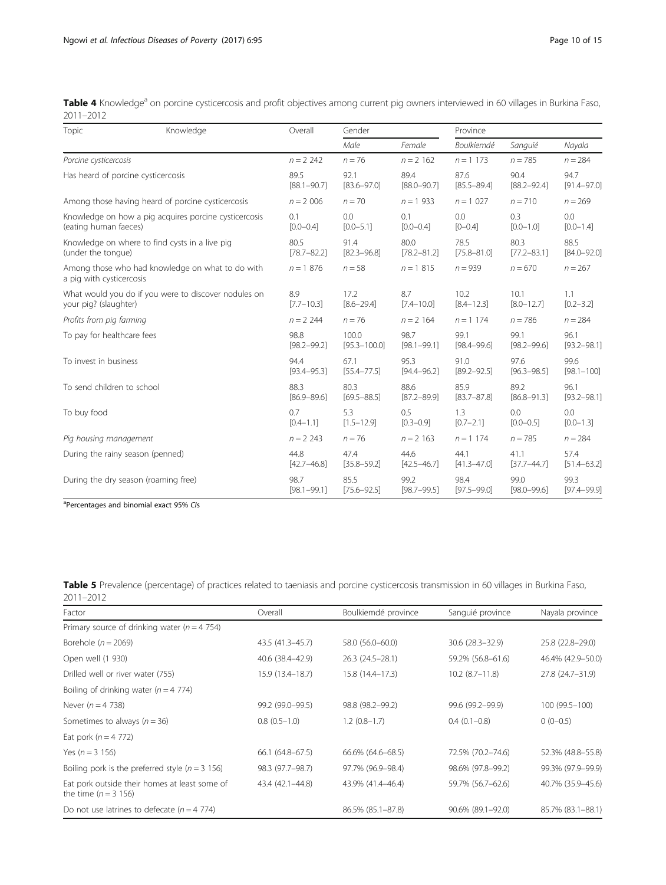<span id="page-9-0"></span>

| Table 4 Knowledge <sup>a</sup> on porcine cysticercosis and profit objectives among current pig owners interviewed in 60 villages in Burkina Faso, |
|----------------------------------------------------------------------------------------------------------------------------------------------------|
| 2011-2012                                                                                                                                          |

| Topic                      | Knowledge                                             | Overall                 | Gender                    |                         | Province                |                         |                         |
|----------------------------|-------------------------------------------------------|-------------------------|---------------------------|-------------------------|-------------------------|-------------------------|-------------------------|
|                            |                                                       |                         | Male                      | Female                  | Boulkiemdé              | Sanguié                 | Nayala                  |
| Porcine cysticercosis      |                                                       | $n = 2,242$             | $n = 76$                  | $n = 2$ 162             | $n = 1$ 173             | $n = 785$               | $n = 284$               |
|                            | Has heard of porcine cysticercosis                    | 89.5<br>$[88.1 - 90.7]$ | 92.1<br>$[83.6 - 97.0]$   | 89.4<br>$[88.0 - 90.7]$ | 87.6<br>$[85.5 - 89.4]$ | 90.4<br>$[88.2 - 92.4]$ | 94.7<br>$[91.4 - 97.0]$ |
|                            | Among those having heard of porcine cysticercosis     | $n = 2006$              | $n = 70$                  | $n = 1933$              | $n = 1027$              | $n = 710$               | $n = 269$               |
| (eating human faeces)      | Knowledge on how a pig acquires porcine cysticercosis | 0.1<br>$[0.0 - 0.4]$    | 0.0<br>$[0.0 - 5.1]$      | 0.1<br>$[0.0 - 0.4]$    | 0.0<br>$[0 - 0.4]$      | 0.3<br>$[0.0 - 1.0]$    | 0.0<br>$[0.0 - 1.4]$    |
| (under the tongue)         | Knowledge on where to find cysts in a live pig        | 80.5<br>$[78.7 - 82.2]$ | 91.4<br>$[82.3 - 96.8]$   | 80.0<br>$[78.2 - 81.2]$ | 78.5<br>$[75.8 - 81.0]$ | 80.3<br>$[77.2 - 83.1]$ | 88.5<br>$[84.0 - 92.0]$ |
| a pig with cysticercosis   | Among those who had knowledge on what to do with      | $n = 1,876$             | $n = 58$                  | $n = 1,815$             | $n = 939$               | $n = 670$               | $n = 267$               |
| your pig? (slaughter)      | What would you do if you were to discover nodules on  | 8.9<br>$[7.7 - 10.3]$   | 17.2<br>$[8.6 - 29.4]$    | 8.7<br>$[7.4 - 10.0]$   | 10.2<br>$[8.4 - 12.3]$  | 10.1<br>$[8.0 - 12.7]$  | 1.1<br>$[0.2 - 3.2]$    |
| Profits from pig farming   |                                                       | $n = 2,244$             | $n = 76$                  | $n = 2$ 164             | $n = 1$ 174             | $n = 786$               | $n = 284$               |
| To pay for healthcare fees |                                                       | 98.8<br>$[98.2 - 99.2]$ | 100.0<br>$[95.3 - 100.0]$ | 98.7<br>$[98.1 - 99.1]$ | 99.1<br>$[98.4 - 99.6]$ | 99.1<br>$[98.2 - 99.6]$ | 96.1<br>$[93.2 - 98.1]$ |
| To invest in business      |                                                       | 94.4<br>$[93.4 - 95.3]$ | 67.1<br>$[55.4 - 77.5]$   | 95.3<br>$[94.4 - 96.2]$ | 91.0<br>$[89.2 - 92.5]$ | 97.6<br>$[96.3 - 98.5]$ | 99.6<br>$[98.1 - 100]$  |
| To send children to school |                                                       | 88.3<br>$[86.9 - 89.6]$ | 80.3<br>$[69.5 - 88.5]$   | 88.6<br>$[87.2 - 89.9]$ | 85.9<br>$[83.7 - 87.8]$ | 89.2<br>$[86.8 - 91.3]$ | 96.1<br>$[93.2 - 98.1]$ |
| To buy food                |                                                       | 0.7<br>$[0.4 - 1.1]$    | 5.3<br>$[1.5 - 12.9]$     | 0.5<br>$[0.3 - 0.9]$    | 1.3<br>$[0.7 - 2.1]$    | 0.0<br>$[0.0 - 0.5]$    | 0.0<br>$[0.0 - 1.3]$    |
| Pig housing management     |                                                       | $n = 2,243$             | $n = 76$                  | $n = 2$ 163             | $n = 1$ 174             | $n = 785$               | $n = 284$               |
|                            | During the rainy season (penned)                      | 44.8<br>$[42.7 - 46.8]$ | 47.4<br>$[35.8 - 59.2]$   | 44.6<br>$[42.5 - 46.7]$ | 44.1<br>$[41.3 - 47.0]$ | 41.1<br>$[37.7 - 44.7]$ | 57.4<br>$[51.4 - 63.2]$ |
|                            | During the dry season (roaming free)                  | 98.7<br>$[98.1 - 99.1]$ | 85.5<br>$[75.6 - 92.5]$   | 99.2<br>$[98.7 - 99.5]$ | 98.4<br>$[97.5 - 99.0]$ | 99.0<br>$[98.0 - 99.6]$ | 99.3<br>$[97.4 - 99.9]$ |

<sup>a</sup>Percentages and binomial exact 95% CIs

Table 5 Prevalence (percentage) of practices related to taeniasis and porcine cysticercosis transmission in 60 villages in Burkina Faso, 2011–2012

| Factor                                                                   | Overall          | Boulkiemdé province | Sanguié province     | Nayala province   |
|--------------------------------------------------------------------------|------------------|---------------------|----------------------|-------------------|
| Primary source of drinking water ( $n = 4$ 754)                          |                  |                     |                      |                   |
| Borehole ( $n = 2069$ )                                                  | 43.5 (41.3-45.7) | 58.0 (56.0-60.0)    | 30.6 (28.3-32.9)     | 25.8 (22.8-29.0)  |
| Open well (1 930)                                                        | 40.6 (38.4-42.9) | 26.3 (24.5 - 28.1)  | 59.2% (56.8-61.6)    | 46.4% (42.9-50.0) |
| Drilled well or river water (755)                                        | 15.9 (13.4-18.7) | 15.8 (14.4-17.3)    | $10.2$ (8.7-11.8)    | 27.8 (24.7-31.9)  |
| Boiling of drinking water ( $n = 4$ 774)                                 |                  |                     |                      |                   |
| Never ( $n = 4$ 738)                                                     | 99.2 (99.0-99.5) | 98.8 (98.2-99.2)    | 99.6 (99.2-99.9)     | 100 (99.5-100)    |
| Sometimes to always ( $n = 36$ )                                         | $0.8(0.5-1.0)$   | $1.2(0.8-1.7)$      | $0.4(0.1-0.8)$       | $0(0-0.5)$        |
| Eat pork ( $n = 4$ 772)                                                  |                  |                     |                      |                   |
| Yes $(n = 3 156)$                                                        | 66.1 (64.8-67.5) | 66.6% (64.6–68.5)   | 72.5% (70.2-74.6)    | 52.3% (48.8-55.8) |
| Boiling pork is the preferred style ( $n = 3$ 156)                       | 98.3 (97.7-98.7) | 97.7% (96.9-98.4)   | 98.6% (97.8-99.2)    | 99.3% (97.9-99.9) |
| Eat pork outside their homes at least some of<br>the time ( $n = 3$ 156) | 43.4 (42.1-44.8) | 43.9% (41.4-46.4)   | 59.7% (56.7-62.6)    | 40.7% (35.9-45.6) |
| Do not use latrines to defecate ( $n = 4$ 774)                           |                  | 86.5% (85.1-87.8)   | $90.6\%$ (89.1-92.0) | 85.7% (83.1-88.1) |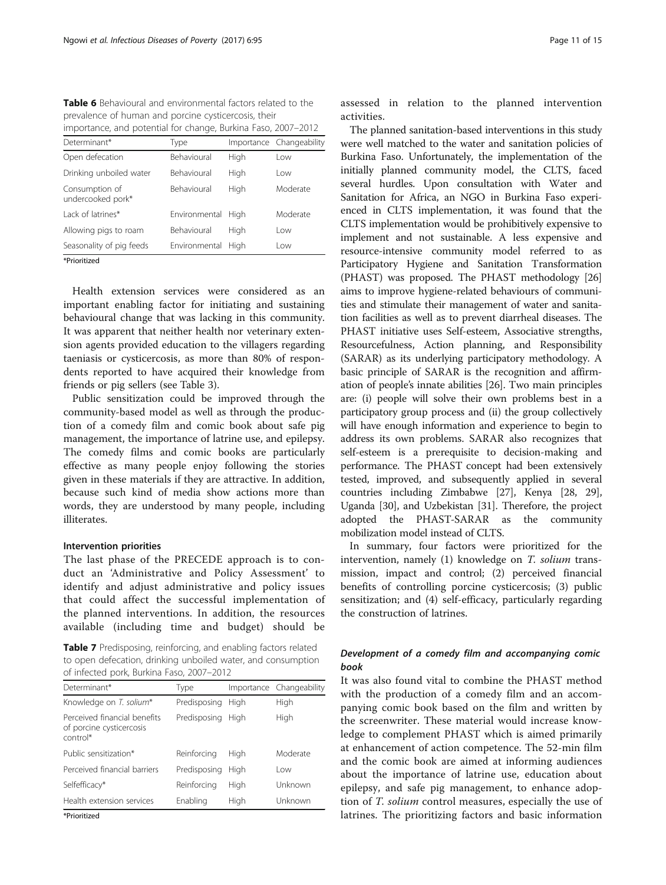<span id="page-10-0"></span>Table 6 Behavioural and environmental factors related to the prevalence of human and porcine cysticercosis, their importance, and potential for change, Burkina Faso, 2007–2012

| $\Box$ $\Box$ putance, and putential for change, burning rasu, 2007=2012 |               |      |                          |  |  |  |  |
|--------------------------------------------------------------------------|---------------|------|--------------------------|--|--|--|--|
| Determinant*                                                             | Type          |      | Importance Changeability |  |  |  |  |
| Open defecation                                                          | Behavioural   | High | l ow                     |  |  |  |  |
| Drinking unboiled water                                                  | Behavioural   | High | l ow                     |  |  |  |  |
| Consumption of<br>undercooked pork*                                      | Behavioural   | High | Moderate                 |  |  |  |  |
| Lack of latrines*                                                        | Environmental | High | Moderate                 |  |  |  |  |
| Allowing pigs to roam                                                    | Behavioural   | High | l ow                     |  |  |  |  |
| Seasonality of pig feeds                                                 | Environmental | Hiah | l ow                     |  |  |  |  |
|                                                                          |               |      |                          |  |  |  |  |

\*Prioritized

Health extension services were considered as an important enabling factor for initiating and sustaining behavioural change that was lacking in this community. It was apparent that neither health nor veterinary extension agents provided education to the villagers regarding taeniasis or cysticercosis, as more than 80% of respondents reported to have acquired their knowledge from friends or pig sellers (see Table [3\)](#page-8-0).

Public sensitization could be improved through the community-based model as well as through the production of a comedy film and comic book about safe pig management, the importance of latrine use, and epilepsy. The comedy films and comic books are particularly effective as many people enjoy following the stories given in these materials if they are attractive. In addition, because such kind of media show actions more than words, they are understood by many people, including illiterates.

## Intervention priorities

The last phase of the PRECEDE approach is to conduct an 'Administrative and Policy Assessment' to identify and adjust administrative and policy issues that could affect the successful implementation of the planned interventions. In addition, the resources available (including time and budget) should be

Table 7 Predisposing, reinforcing, and enabling factors related to open defecation, drinking unboiled water, and consumption of infected pork, Burkina Faso, 2007–2012

| Determinant*                                                         | Type         |      | Importance Changeability |
|----------------------------------------------------------------------|--------------|------|--------------------------|
| Knowledge on T. solium*                                              | Predisposing | High | High                     |
| Perceived financial benefits<br>of porcine cysticercosis<br>control* | Predisposing | High | High                     |
| Public sensitization*                                                | Reinforcing  | High | Moderate                 |
| Perceived financial barriers                                         | Predisposing | Hiah | l ow                     |
| Selfefficacy*                                                        | Reinforcing  | High | Unknown                  |
| Health extension services                                            | Enabling     | High | Unknown                  |
|                                                                      |              |      |                          |

\*Prioritized

assessed in relation to the planned intervention activities.

The planned sanitation-based interventions in this study were well matched to the water and sanitation policies of Burkina Faso. Unfortunately, the implementation of the initially planned community model, the CLTS, faced several hurdles. Upon consultation with Water and Sanitation for Africa, an NGO in Burkina Faso experienced in CLTS implementation, it was found that the CLTS implementation would be prohibitively expensive to implement and not sustainable. A less expensive and resource-intensive community model referred to as Participatory Hygiene and Sanitation Transformation (PHAST) was proposed. The PHAST methodology [[26](#page-14-0)] aims to improve hygiene-related behaviours of communities and stimulate their management of water and sanitation facilities as well as to prevent diarrheal diseases. The PHAST initiative uses Self-esteem, Associative strengths, Resourcefulness, Action planning, and Responsibility (SARAR) as its underlying participatory methodology. A basic principle of SARAR is the recognition and affirmation of people's innate abilities [\[26\]](#page-14-0). Two main principles are: (i) people will solve their own problems best in a participatory group process and (ii) the group collectively will have enough information and experience to begin to address its own problems. SARAR also recognizes that self-esteem is a prerequisite to decision-making and performance. The PHAST concept had been extensively tested, improved, and subsequently applied in several countries including Zimbabwe [[27](#page-14-0)], Kenya [\[28](#page-14-0), [29](#page-14-0)], Uganda [\[30\]](#page-14-0), and Uzbekistan [\[31](#page-14-0)]. Therefore, the project adopted the PHAST-SARAR as the community mobilization model instead of CLTS.

In summary, four factors were prioritized for the intervention, namely (1) knowledge on T. solium transmission, impact and control; (2) perceived financial benefits of controlling porcine cysticercosis; (3) public sensitization; and (4) self-efficacy, particularly regarding the construction of latrines.

# Development of a comedy film and accompanying comic book

It was also found vital to combine the PHAST method with the production of a comedy film and an accompanying comic book based on the film and written by the screenwriter. These material would increase knowledge to complement PHAST which is aimed primarily at enhancement of action competence. The 52-min film and the comic book are aimed at informing audiences about the importance of latrine use, education about epilepsy, and safe pig management, to enhance adoption of T. solium control measures, especially the use of latrines. The prioritizing factors and basic information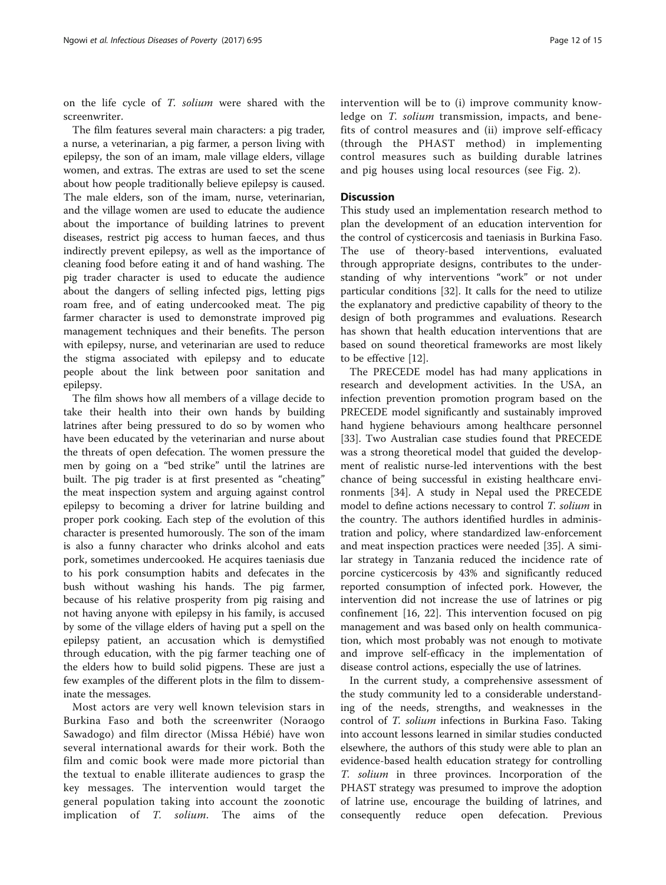on the life cycle of T. solium were shared with the screenwriter.

The film features several main characters: a pig trader, a nurse, a veterinarian, a pig farmer, a person living with epilepsy, the son of an imam, male village elders, village women, and extras. The extras are used to set the scene about how people traditionally believe epilepsy is caused. The male elders, son of the imam, nurse, veterinarian, and the village women are used to educate the audience about the importance of building latrines to prevent diseases, restrict pig access to human faeces, and thus indirectly prevent epilepsy, as well as the importance of cleaning food before eating it and of hand washing. The pig trader character is used to educate the audience about the dangers of selling infected pigs, letting pigs roam free, and of eating undercooked meat. The pig farmer character is used to demonstrate improved pig management techniques and their benefits. The person with epilepsy, nurse, and veterinarian are used to reduce the stigma associated with epilepsy and to educate people about the link between poor sanitation and epilepsy.

The film shows how all members of a village decide to take their health into their own hands by building latrines after being pressured to do so by women who have been educated by the veterinarian and nurse about the threats of open defecation. The women pressure the men by going on a "bed strike" until the latrines are built. The pig trader is at first presented as "cheating" the meat inspection system and arguing against control epilepsy to becoming a driver for latrine building and proper pork cooking. Each step of the evolution of this character is presented humorously. The son of the imam is also a funny character who drinks alcohol and eats pork, sometimes undercooked. He acquires taeniasis due to his pork consumption habits and defecates in the bush without washing his hands. The pig farmer, because of his relative prosperity from pig raising and not having anyone with epilepsy in his family, is accused by some of the village elders of having put a spell on the epilepsy patient, an accusation which is demystified through education, with the pig farmer teaching one of the elders how to build solid pigpens. These are just a few examples of the different plots in the film to disseminate the messages.

Most actors are very well known television stars in Burkina Faso and both the screenwriter (Noraogo Sawadogo) and film director (Missa Hébié) have won several international awards for their work. Both the film and comic book were made more pictorial than the textual to enable illiterate audiences to grasp the key messages. The intervention would target the general population taking into account the zoonotic implication of T. solium. The aims of the intervention will be to (i) improve community knowledge on *T. solium* transmission, impacts, and benefits of control measures and (ii) improve self-efficacy (through the PHAST method) in implementing control measures such as building durable latrines and pig houses using local resources (see Fig. [2\)](#page-12-0).

# **Discussion**

This study used an implementation research method to plan the development of an education intervention for the control of cysticercosis and taeniasis in Burkina Faso. The use of theory-based interventions, evaluated through appropriate designs, contributes to the understanding of why interventions "work" or not under particular conditions [\[32\]](#page-14-0). It calls for the need to utilize the explanatory and predictive capability of theory to the design of both programmes and evaluations. Research has shown that health education interventions that are based on sound theoretical frameworks are most likely to be effective [\[12\]](#page-14-0).

The PRECEDE model has had many applications in research and development activities. In the USA, an infection prevention promotion program based on the PRECEDE model significantly and sustainably improved hand hygiene behaviours among healthcare personnel [[33\]](#page-14-0). Two Australian case studies found that PRECEDE was a strong theoretical model that guided the development of realistic nurse-led interventions with the best chance of being successful in existing healthcare environments [\[34](#page-14-0)]. A study in Nepal used the PRECEDE model to define actions necessary to control T. solium in the country. The authors identified hurdles in administration and policy, where standardized law-enforcement and meat inspection practices were needed [\[35\]](#page-14-0). A similar strategy in Tanzania reduced the incidence rate of porcine cysticercosis by 43% and significantly reduced reported consumption of infected pork. However, the intervention did not increase the use of latrines or pig confinement [[16](#page-14-0), [22\]](#page-14-0). This intervention focused on pig management and was based only on health communication, which most probably was not enough to motivate and improve self-efficacy in the implementation of disease control actions, especially the use of latrines.

In the current study, a comprehensive assessment of the study community led to a considerable understanding of the needs, strengths, and weaknesses in the control of T. solium infections in Burkina Faso. Taking into account lessons learned in similar studies conducted elsewhere, the authors of this study were able to plan an evidence-based health education strategy for controlling T. solium in three provinces. Incorporation of the PHAST strategy was presumed to improve the adoption of latrine use, encourage the building of latrines, and consequently reduce open defecation. Previous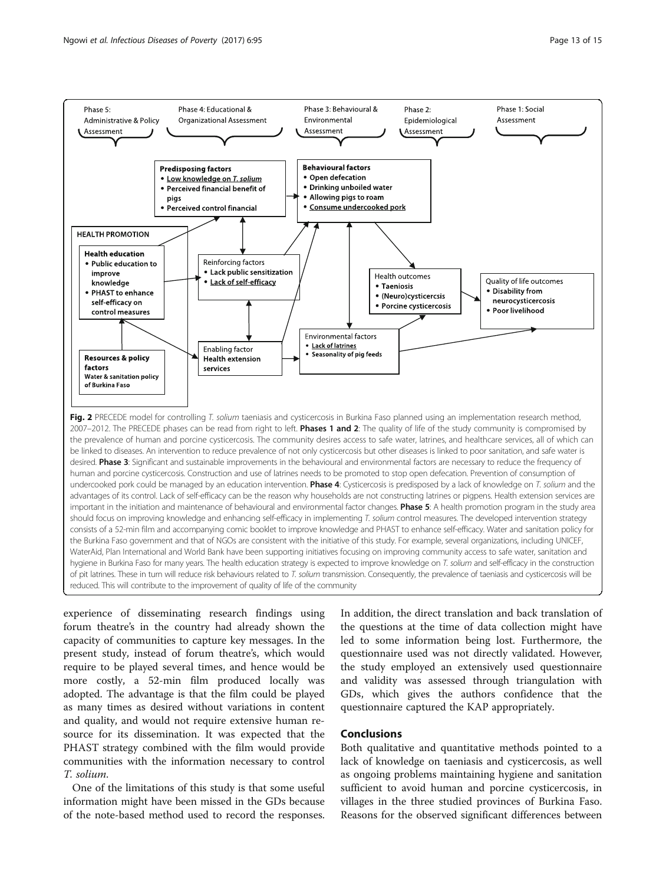<span id="page-12-0"></span>

experience of disseminating research findings using forum theatre's in the country had already shown the capacity of communities to capture key messages. In the present study, instead of forum theatre's, which would require to be played several times, and hence would be more costly, a 52-min film produced locally was adopted. The advantage is that the film could be played as many times as desired without variations in content and quality, and would not require extensive human resource for its dissemination. It was expected that the PHAST strategy combined with the film would provide communities with the information necessary to control T. solium.

One of the limitations of this study is that some useful information might have been missed in the GDs because of the note-based method used to record the responses.

In addition, the direct translation and back translation of the questions at the time of data collection might have led to some information being lost. Furthermore, the questionnaire used was not directly validated. However, the study employed an extensively used questionnaire and validity was assessed through triangulation with GDs, which gives the authors confidence that the questionnaire captured the KAP appropriately.

# Conclusions

Both qualitative and quantitative methods pointed to a lack of knowledge on taeniasis and cysticercosis, as well as ongoing problems maintaining hygiene and sanitation sufficient to avoid human and porcine cysticercosis, in villages in the three studied provinces of Burkina Faso. Reasons for the observed significant differences between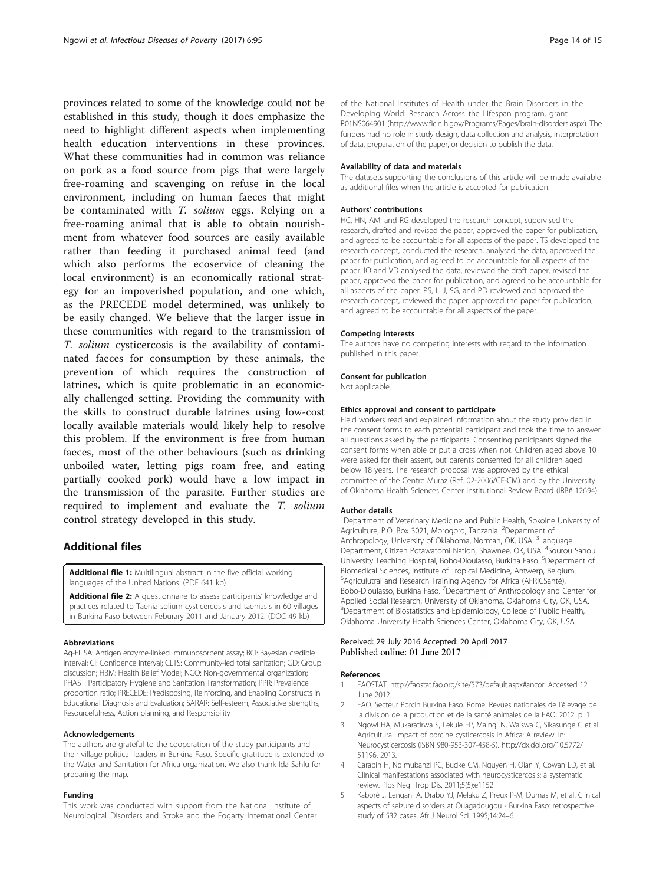<span id="page-13-0"></span>provinces related to some of the knowledge could not be established in this study, though it does emphasize the need to highlight different aspects when implementing health education interventions in these provinces. What these communities had in common was reliance on pork as a food source from pigs that were largely free-roaming and scavenging on refuse in the local environment, including on human faeces that might be contaminated with T. solium eggs. Relying on a free-roaming animal that is able to obtain nourishment from whatever food sources are easily available rather than feeding it purchased animal feed (and which also performs the ecoservice of cleaning the local environment) is an economically rational strategy for an impoverished population, and one which, as the PRECEDE model determined, was unlikely to be easily changed. We believe that the larger issue in these communities with regard to the transmission of T. solium cysticercosis is the availability of contaminated faeces for consumption by these animals, the prevention of which requires the construction of latrines, which is quite problematic in an economically challenged setting. Providing the community with the skills to construct durable latrines using low-cost locally available materials would likely help to resolve this problem. If the environment is free from human faeces, most of the other behaviours (such as drinking unboiled water, letting pigs roam free, and eating partially cooked pork) would have a low impact in the transmission of the parasite. Further studies are required to implement and evaluate the T. solium control strategy developed in this study.

# Additional files

[Additional file 1:](dx.doi.org/10.1186/s40249-017-0308-0) Multilingual abstract in the five official working languages of the United Nations. (PDF 641 kb)

[Additional file 2:](dx.doi.org/10.1186/s40249-017-0308-0) A questionnaire to assess participants' knowledge and practices related to Taenia solium cysticercosis and taeniasis in 60 villages in Burkina Faso between Feburary 2011 and January 2012. (DOC 49 kb)

#### Abbreviations

Ag-ELISA: Antigen enzyme-linked immunosorbent assay; BCI: Bayesian credible interval; CI: Confidence interval; CLTS: Community-led total sanitation; GD: Group discussion; HBM: Health Belief Model; NGO: Non-governmental organization; PHAST: Participatory Hygiene and Sanitation Transformation; PPR: Prevalence proportion ratio; PRECEDE: Predisposing, Reinforcing, and Enabling Constructs in Educational Diagnosis and Evaluation; SARAR: Self-esteem, Associative strengths, Resourcefulness, Action planning, and Responsibility

#### Acknowledgements

The authors are grateful to the cooperation of the study participants and their village political leaders in Burkina Faso. Specific gratitude is extended to the Water and Sanitation for Africa organization. We also thank Ida Sahlu for preparing the map.

#### Funding

This work was conducted with support from the National Institute of Neurological Disorders and Stroke and the Fogarty International Center of the National Institutes of Health under the Brain Disorders in the Developing World: Research Across the Lifespan program, grant R01NS064901 [\(http://www.fic.nih.gov/Programs/Pages/brain-disorders.aspx\)](http://www.fic.nih.gov/Programs/Pages/brain-disorders.aspx). The funders had no role in study design, data collection and analysis, interpretation of data, preparation of the paper, or decision to publish the data.

#### Availability of data and materials

The datasets supporting the conclusions of this article will be made available as additional files when the article is accepted for publication.

#### Authors' contributions

HC, HN, AM, and RG developed the research concept, supervised the research, drafted and revised the paper, approved the paper for publication, and agreed to be accountable for all aspects of the paper. TS developed the research concept, conducted the research, analysed the data, approved the paper for publication, and agreed to be accountable for all aspects of the paper. IO and VD analysed the data, reviewed the draft paper, revised the paper, approved the paper for publication, and agreed to be accountable for all aspects of the paper. PS, LLJ, SG, and PD reviewed and approved the research concept, reviewed the paper, approved the paper for publication, and agreed to be accountable for all aspects of the paper.

#### Competing interests

The authors have no competing interests with regard to the information published in this paper.

#### Consent for publication

Not applicable.

#### Ethics approval and consent to participate

Field workers read and explained information about the study provided in the consent forms to each potential participant and took the time to answer all questions asked by the participants. Consenting participants signed the consent forms when able or put a cross when not. Children aged above 10 were asked for their assent, but parents consented for all children aged below 18 years. The research proposal was approved by the ethical committee of the Centre Muraz (Ref. 02-2006/CE-CM) and by the University of Oklahoma Health Sciences Center Institutional Review Board (IRB# 12694).

#### Author details

<sup>1</sup>Department of Veterinary Medicine and Public Health, Sokoine University of Agriculture, P.O. Box 3021, Morogoro, Tanzania. <sup>2</sup>Department of Anthropology, University of Oklahoma, Norman, OK, USA. <sup>3</sup>Language Department, Citizen Potawatomi Nation, Shawnee, OK, USA. <sup>4</sup>Sourou Sanou University Teaching Hospital, Bobo-Dioulasso, Burkina Faso. <sup>5</sup>Department of Biomedical Sciences, Institute of Tropical Medicine, Antwerp, Belgium. 6 Agriculutral and Research Training Agency for Africa (AFRICSanté), Bobo-Dioulasso, Burkina Faso. <sup>7</sup>Department of Anthropology and Center for Applied Social Research, University of Oklahoma, Oklahoma City, OK, USA. <sup>8</sup>Department of Biostatistics and Epidemiology, College of Public Health Oklahoma University Health Sciences Center, Oklahoma City, OK, USA.

#### Received: 29 July 2016 Accepted: 20 April 2017 Published online: 01 June 2017

#### References

- 1. FAOSTAT. [http://faostat.fao.org/site/573/default.aspx#ancor.](http://faostat.fao.org/site/573/default.aspx#ancor) Accessed 12 June 2012.
- 2. FAO. Secteur Porcin Burkina Faso. Rome: Revues nationales de l'élevage de la division de la production et de la santé animales de la FAO; 2012. p. 1.
- Ngowi HA, Mukaratirwa S, Lekule FP, Maingi N, Waiswa C, Sikasunge C et al. Agricultural impact of porcine cysticercosis in Africa: A review: In: Neurocysticercosis (ISBN 980-953-307-458-5). http://dx.doi.org[/10.5772/](http://dx.doi.org/10.5772/51196) [51196.](http://dx.doi.org/10.5772/51196) 2013.
- 4. Carabin H, Ndimubanzi PC, Budke CM, Nguyen H, Qian Y, Cowan LD, et al. Clinical manifestations associated with neurocysticercosis: a systematic review. Plos Negl Trop Dis. 2011;5(5):e1152.
- Kaboré J, Lengani A, Drabo YJ, Melaku Z, Preux P-M, Dumas M, et al. Clinical aspects of seizure disorders at Ouagadougou - Burkina Faso: retrospective study of 532 cases. Afr J Neurol Sci. 1995;14:24–6.